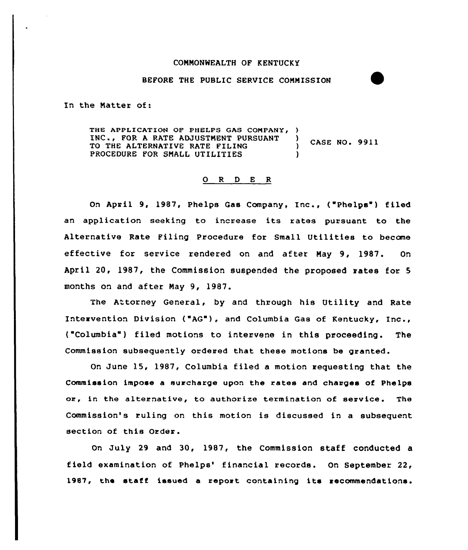### COMNONWEALTH OF KENTUCKY

### BEFORE THE PUBLIC SERVICE CONNISSION

In the Natter of:

THE APPLICATION OF PHELPS GAS COMPANY, ) INC., FOR A RATE ADJUSTMENT PURSUANT ) CASE NO. 9911 TO THE ALTERNATIVE RATE FILING PROCEDURE FOR SMALL UTILITIES

# 0 <sup>R</sup> <sup>D</sup> E <sup>R</sup>

On April 9, 1987, Phelps Gas Company, Inc., ("Phelps") filed an application seeking to increase its rates pursuant to the Alternative Rate Filing Procedure for Small Utilities to become effective for service rendered on and after Nay 9, 1987. On April 20, 1987, the Commission suspended the proposed rates for 5 months on and after Nay 9, 1987.

The Attorney General, by and through his Utility and Rate Intervention Division ("AG"), and Columbia Gas of Kentucky, Inc., ("Columbia") filed motions to intervene in this proceeding. The Commission subsequently ordered that these motions be granted.

On June 15, 1987, Columbia filed a motion requesting that the Commission impose a surcharge upon the rates and charges of Phelps or, in the alternative, to authorize termination of service. The Commission's ruling on this motion is discussed in a subsequent section of this Order.

On July 29 and 30, 1987, the Commission staff conducted a field examination of Phelps' financial records. On September 22, 19B7, the staff issued <sup>a</sup> report containing its recommendations.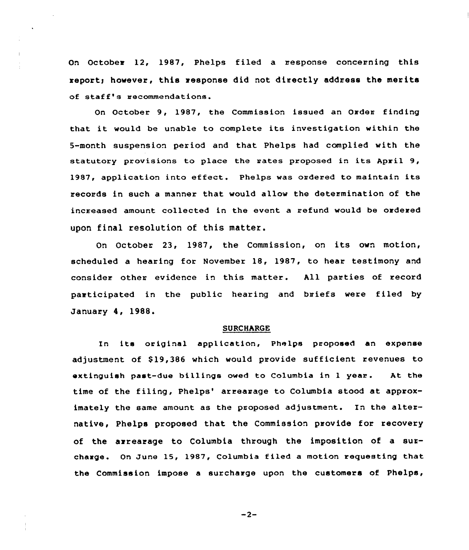On October 12, 1987, Phelps filed a response concerning this report; however, this response did not directly address the merits of staff's recommendations.

On October 9, 1987, the Commission issued an Order finding that it would be unable to complete its investigation within the 5-month suspension period and that Phelps had complied with the statutory provisions to place the rates proposed in its April 9, 1987, application into effect. Phelps was ordered to maintain its records in such a manner that would allow the determination of the increased amount collected in the event a refund would be ordered upon final resolution of this matter.

On October 23, 1987, the Commission, on its own motion, scheduled a hearing for November 18, 1987, to hear testimony and consider other evidence in this matter. hll parties of record participated in the public hearing and briefs were filed by January 4, 1988.

### SURCHARGE

In its original applicatinn, Phelps proposed an expense adjustment of \$19,386 which would provide sufficient revenues to extinguish past-due billings owed to Columbia in <sup>1</sup> year. At the time of the filing, Phelps' arrearage to Columbia stood at approximately the same amount as the proposed adjustment. In the alternative, Phelps proposed that the Commission provide for recovery of the arrearage to Columbia through the imposition of a surcharge. On June 15< 1987, Columbia filed a motion requesting that the Commission impose a surcharge upon the customers of Phelps,

 $-2-$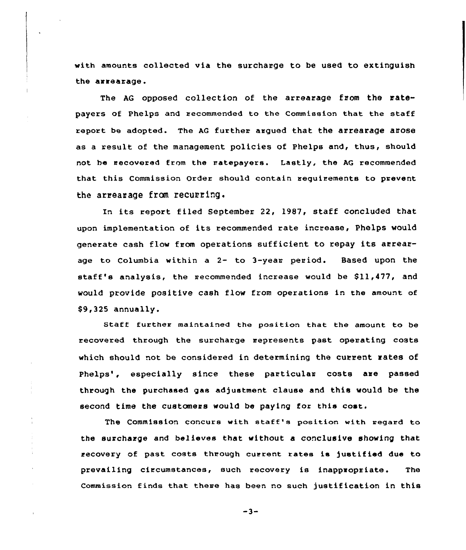with amounts collected via the surcharge to be used to extinguish the arrearage.

The AG opposed collection of the arrearage from the ratepayers of Phelps and recommended to the Commission that the staff report be adopted. The AG further argued that the arrearage arose as a result of the management policies of Phelps and, thus, should not ha recovered from the natepayers. Lastly, the AG recommended that this Commission Order should contain requirements to prevent the arrearage from recurring.

In its report filed September 22, 1987, staff concluded that upon implementation of its recommended rate increase, Phelps would generate cash flow from operations sufficient to repay its arrearage to Columbia within a 2- to 3-yean period. Based upon the staff's analysis, the recommended increase would be \$11,477, and would provide positive cash flow from operations in the amount of \$9,325 annually.

Staff further maintained the position that the amoont to be recovered through the surcharge represents past operating costs which should not be considered in determining the current rates of Phelps', especially since these particular costs are passed through the purchased gas adjustment clause and this would be the second time the customers would be paying for this cost.

The Commission concurs with staff's position with regard to the surcharge and believes that without a conclusive showing that recovery of past costs through current rates is )ustified due to prevailing circumstances, such recovery is inappropriate. The Commission finds that there has been no such )ustification in this

 $-3-$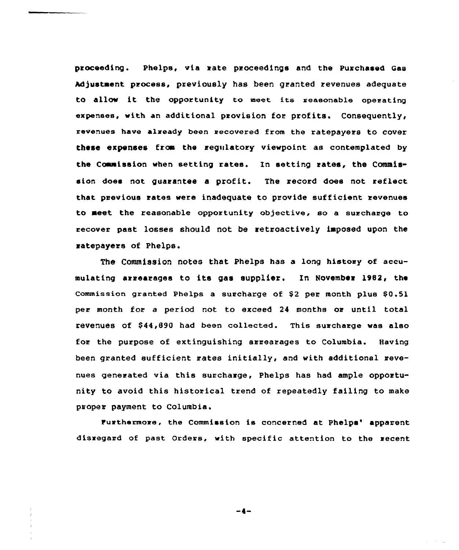proceeding. Phelps, via rate proceedings and the Purchased Gas Adjustment process, previously has been granted revenues adequate to allow it the opportunity to meet its reasonable operating expenses, with an additional provision for profits. Consequently, revenues have already been recovered from the ratepayers to cover these expenses frca the regulatory viewpoint as contemplated by the Commission when setting rates. In setting rates, the Commission does not guarantee a profit. The record does not reflect that previous rates were inadequate to provide sufficient revenues to meet the reasonable opportunity objective, so a surcharge to recover past losses should not be retroactively imposed upon the ratepayers of Phelps.

The commission notes that Phelps has a long history of accumulating arrearages to its gas supplier. In November 1982, the Commission granted Phelps a surcharge of  $$2$  per month plus  $$0.51$ per month for a period not to exceed 24 months or until total revenues of \$ 44,890 had been collected. This surcharge was also for the purpose of extinguishing arrearages to Columbia. Having been granted sufficient rates initially, and with additional revenues generated via this surcharge, Phelps has had ample opportunity to avoid this historical trend of repeatedly failing to make proper payment to Columbia.

Furthermore, the Commission is concerned at Phelps' apparent disregard of past Orders, with specific attention to the recent

 $-4-$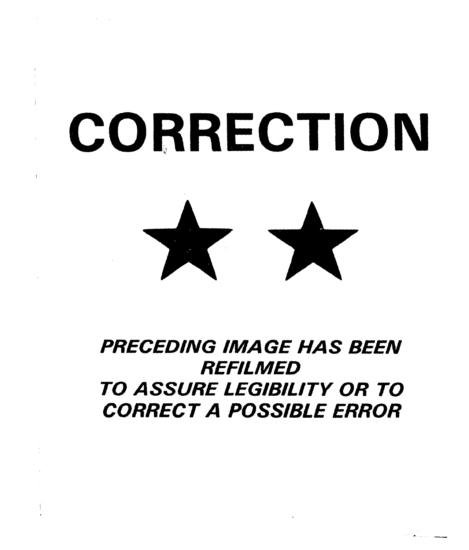# CORRECTION

 $\lambda$ 



# PRECEDING IMAGE HAS BEEN **REFILMED** TO ASSURE LEGIBILITY OR TO CORRECT A POSSIBLE ERROR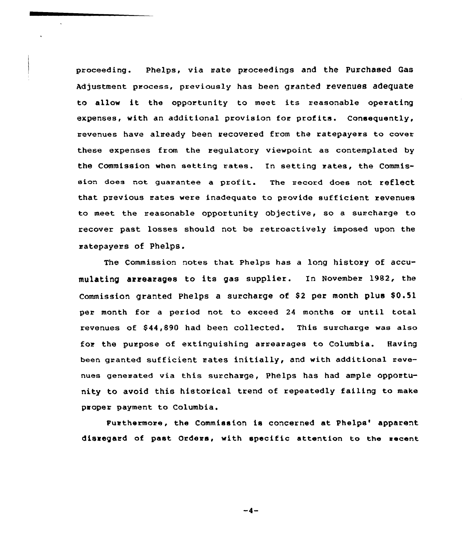proceeding. Phelps, via rate proceedings and the Purchased Gas Adjustment process, previously has been granted revenues adequate to allow it the opportunity to meet its reasonable operating expenses, with an additional provision for profits. Consequently, revenues have already been recovered from the ratepayers to cover these expenses from the regulatory viewpoint as contemplated by the Commission when setting rates. In setting rates, the Commission does not quarantee a profit. The record does not reflect that previous rates were inadequate to provide sufficient revenues to meet the reasonable opportunity objective, so a surcharge to recover past losses should not be retroactively imposed upon the ratepayers of Phelps.

The Commission notes that Phelps has a long histoxy of accumulating arrearages to its gas supplier. In November 1982, the Commission granted Phelps a surcharge of \$2 per month plus \$0.51 per month for a period not to exceed 24 months or until total revenues of 844,890 had been collected. This surcharge was also fox the purpose of extinguishing arrearages to Columbia. Having been granted sufficient rates initially, and with additional revenues generated via this surcharge, Phelps has had ample opportunity to avoid this historical trend of repeatedly failing to make paoper payment to Columbia.

Furthermore, the Commission is concerned at Phelps' apparent disregard of past Orders, with specific attention to the eacent

 $-4-$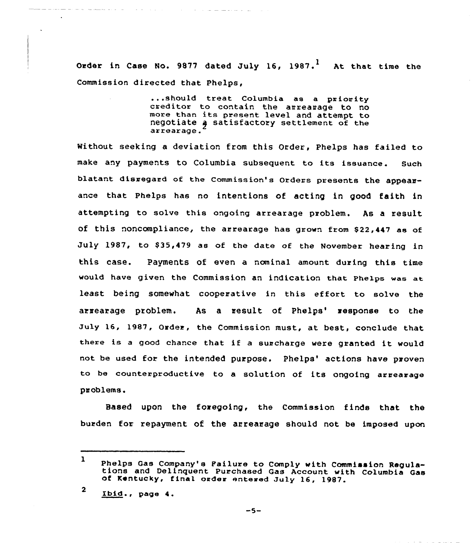Order in Case No. 9877 dated July 16, 1987.<sup>1</sup> At that time the Commission directed that Phelps,

> ...should treat Columbia as <sup>a</sup> priority creditor to contain the arrearage to no executor to contain the arrearage to no<br>more than its present level and attempt to<br>negotiate a satisfactory settlement of the arrearage.

Without seeking a deviation from this Order, Phelps has failed to make any payments to Columbia subsequent to its issuance. Such blatant disregard of the Commission's Orders presents the appearance that Phelps has no intentions of acting in good faith in attempting to solve this ongoing arrearage problem. As a result of this noncompliance, the arrearage has grown from \$22,447 as of July 1987, to \$35,479 as of the date of the November hearing in this case. Payments of even a nominal amount during this time would have given the Commission an indication that Phelps wae at. least being somewhat cooperative in this effort to solve the arrearage problem. As a result of Phelps' response to the July 16, 1987, Order, the Commission must, at best, conclude that there is <sup>a</sup> good chance that if <sup>a</sup> surcharge were granted it would not be used for the intended purpose. Phelps' actions have proven to be counterproductive to a solution of its ongoing arrearage problems.

Based upon the foregoing, the Commission finds that the burden for repayment of the arrearage should not be imposed upon

 $\Delta$ 

and the state of the state and the state

 $\mathbf{1}$ Phelps Gas Company's Pailure to Comply with Commission Regula-<br>tions and Delinquent Purchased Gas Account with Columbia Gas<br>of Kentucky, final order entered July 16, 1987.

 $\overline{\mathbf{2}}$ ibid , page 4.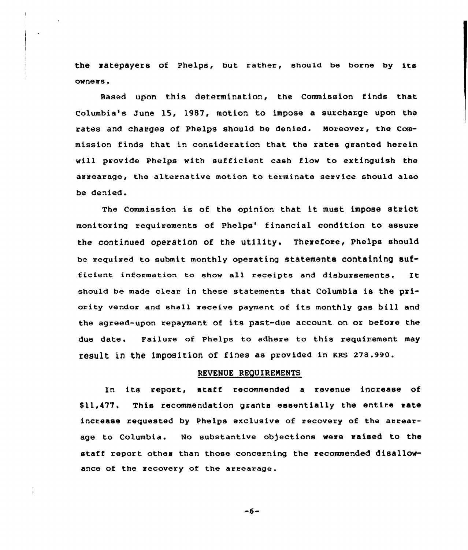the ratepayers of Phelps, but rather, should be borne by its owners'ased

upon this determination, the Commission finds that Columbia's June 15, 1987, motion to impose a surcharge upon the rates and charges of Phelps should be denied. Moreover, the Commission finds that in consideration that the rates granted herein will provide Phelps with sufficient cash flow to extinguish the arrearage, the alternative motion to terminate service should also be denied.

The Commissian is of the opinion that it must impose strict monitoring requirements of Phelps' financial condition to assure the continued operation of the utility. Therefore, Phelps should be required to submit monthly operating statements containing sufficient information to show all receipts and disbursements. It should be made clear in these statements that Columbia is the priority vendor and shaII receive payment of its monthly gas bill and the agreed-upon repayment of its past-due account on or before the due date. Failure af Phelps to adhere to this requirement may result in the imposition of fines as provided in KRS 278.990.

### REVENUE REQUIRENENTS

In its report, staff recommended <sup>a</sup> revenue increase of \$11,477. This recommendation grants essentially the entire rate increase requested by Phelps exclusive of recovery of the arrearage to Columbia. No substantive objections were raised to the staff repart other than those concerning the recommended disallowance of the recovery of the arrearage.

 $-6-$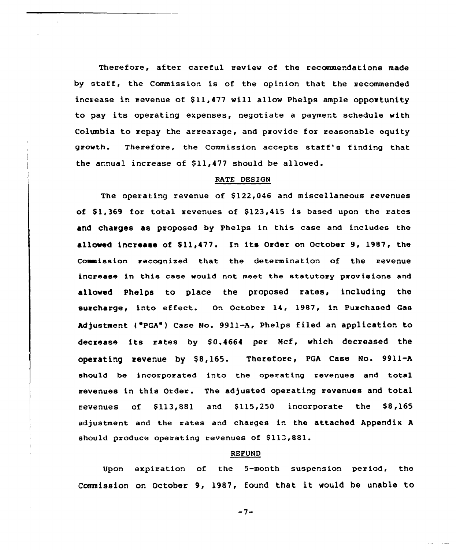Therefore, after careful review of the recommendations made by staff, the Commission is of the opinion that the recommended increase in revenue of \$11,477 will allow Phelps ample opportunity to pay its operating expenses, negotiate <sup>a</sup> payment schedule with Columbia to repay the arrearage, and provide for reasonable equity growth. Therefore, the Commission accepts staff's finding that the annual increase of \$11,477 should be allowed.

### RATE DESIGN

The operating revenue of \$122,046 and miscellaneous revenues of  $$1,369$  for total revenues of  $$123,415$  is based upon the rates and charges as proposed by Phelps in this case and includes the allowed increase of \$11,477. In its Order on October 9, 1987, the Commission recognized that the determination of the revenue increase in this case would not meet the statutory provisions and allowed Phelps to place the proposed rates, including the surcharge, into effect. On October 14, 1987, in Purchased Gas Adjustment ("PGA") Case No. 9911-A, Phelps filed an application to decrease its rates by \$0.4664 per Mcf, which decreased the operating revenue by \$8,165. Therefore, PGA Case No. 9911-A should be incorporated into the operating revenues and total revenues in this Order. The adjusted operating revenues and total revenues of  $$113,881$  and  $$115,250$  incorporate the  $$8,165$ adjustment and the rates and changes in the attached Appendix <sup>A</sup> should produce operating revenues of \$113,881.

### REFUND

Upon expiration of the 5-month suspension peniod, the Commission on October 9, 1987, found that it would be unable to

 $-7-$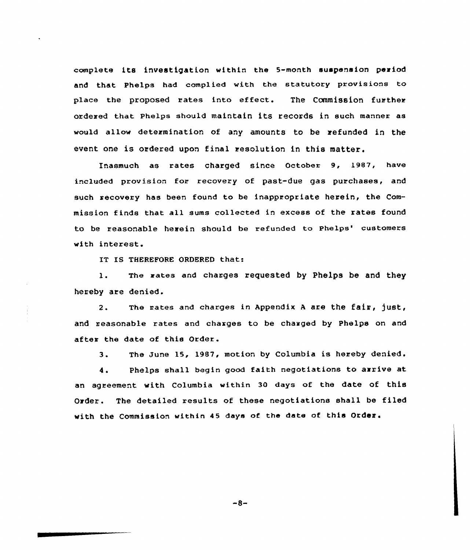complete its investigation within the 5-month suspension period and that Phelps had complied with the statutory provisions to place the proposed rates into effect. The Commission further ordered that Phelps should maintain its records in such manner as would allow determination of any amounts to be refunded in the event one is ordered upon final resolution in this matter.

Inasmuch as rates charged since October 9, 1987, have included provision for recovery of past-due gas purchases, and such xecovexy has been found to be inappropriate herein, the Commission finds that all sums collected in excess of the rates found to be reasonable herein should be refunded to Phelps' customers with interest.

IT IS THEREFORE ORDERED that:

1. The rates and charges requested by Phelps be and they hereby are denied.

2. The rates and charges in Appendix A are the fair, just, and reasonable rates and charges to be charged by Phelps on and after the date of this Order.

3. The June 15, 1987, motion by Columbia is hereby denied.

4. Phelps shall begin good faith negotiations to arrive at an agreement with Columbia within 30 days of the date of this Order. The detailed results of these negotiations shall be filed with the Commission within 45 days of the date of this Order.

 $-8-$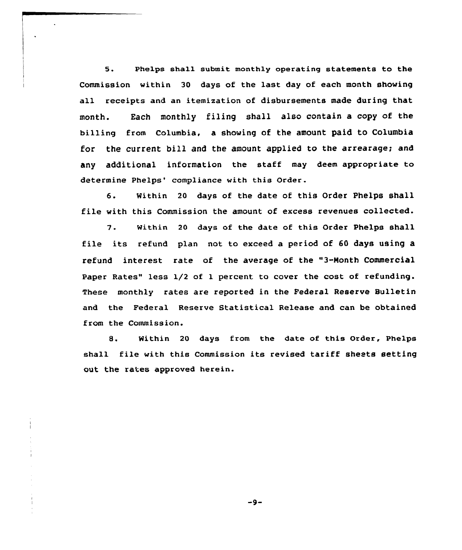5. Phelps shall submit monthly operating statements to the Commission within 30 days of the last day of each month showing all receipts and an itemization of disbursements made during that month. Each monthly filing shall also contain a copy of the billing from Columbia, a showing of the amount paid to Columbia for the current bill and the amount applied to the arrearage; and any additional information the staff may deem appropriate to determine Phelps' compliance with this Order.

6. Within <sup>20</sup> days of the date of this Order Phelps shall file with this Commission the amount of excess revenues collected.

7. within <sup>20</sup> days of the date of this Order Phelps shall file its refund plan not to exceed a period of 60 days using a refund interest rate of the average of the "3-Month Commercial Paper Rates" less 1/2 of 1 percent to cover the cost of refunding. These monthly rates are reported in the Federal Reserve Bulletin and the Federal Reserve Statistical Release and can be obtained from the Commission.

8. Within <sup>20</sup> days from the date of this Order, Phelps shal1 file with this Commission its revised tariff sheets setting out the rates approved herein.

 $-9-$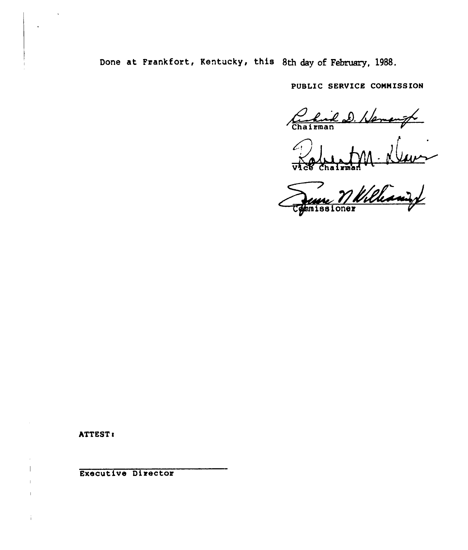Done at Frankfort, Kentucky, this 8th day of February, 1988.

PUBLIC SERVICE COMMISSION

hird D. Hemangt

 $\frac{d}{d\lambda}$  .

June Milliani

ATTEST:

 $\mathbf{I}$ 

Executive Director